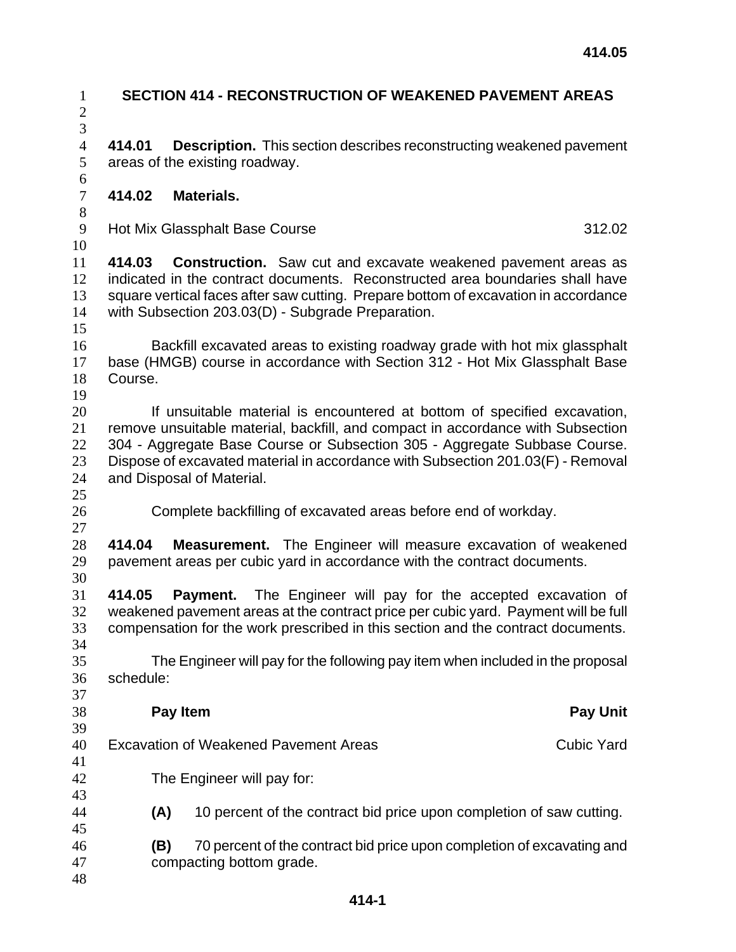| $\mathbf{1}$<br>$\mathbf{2}$          | <b>SECTION 414 - RECONSTRUCTION OF WEAKENED PAVEMENT AREAS</b>                                                                                                                                                                                                                                                                                           |                                                                      |                   |  |
|---------------------------------------|----------------------------------------------------------------------------------------------------------------------------------------------------------------------------------------------------------------------------------------------------------------------------------------------------------------------------------------------------------|----------------------------------------------------------------------|-------------------|--|
| $\overline{3}$<br>$\overline{4}$<br>5 | <b>Description.</b> This section describes reconstructing weakened pavement<br>414.01<br>areas of the existing roadway.                                                                                                                                                                                                                                  |                                                                      |                   |  |
| 6<br>$\overline{7}$<br>8              | 414.02                                                                                                                                                                                                                                                                                                                                                   | <b>Materials.</b>                                                    |                   |  |
| 9<br>10                               |                                                                                                                                                                                                                                                                                                                                                          | <b>Hot Mix Glassphalt Base Course</b>                                | 312.02            |  |
| 11<br>12<br>13<br>14<br>15            | 414.03<br><b>Construction.</b> Saw cut and excavate weakened pavement areas as<br>indicated in the contract documents. Reconstructed area boundaries shall have<br>square vertical faces after saw cutting. Prepare bottom of excavation in accordance<br>with Subsection 203.03(D) - Subgrade Preparation.                                              |                                                                      |                   |  |
| 16<br>17<br>18<br>19                  | Backfill excavated areas to existing roadway grade with hot mix glassphalt<br>base (HMGB) course in accordance with Section 312 - Hot Mix Glassphalt Base<br>Course.                                                                                                                                                                                     |                                                                      |                   |  |
| 20<br>21<br>22<br>23<br>24<br>25      | If unsuitable material is encountered at bottom of specified excavation,<br>remove unsuitable material, backfill, and compact in accordance with Subsection<br>304 - Aggregate Base Course or Subsection 305 - Aggregate Subbase Course.<br>Dispose of excavated material in accordance with Subsection 201.03(F) - Removal<br>and Disposal of Material. |                                                                      |                   |  |
| 26<br>27                              | Complete backfilling of excavated areas before end of workday.                                                                                                                                                                                                                                                                                           |                                                                      |                   |  |
| 28<br>29<br>30                        | <b>Measurement.</b> The Engineer will measure excavation of weakened<br>414.04<br>pavement areas per cubic yard in accordance with the contract documents.                                                                                                                                                                                               |                                                                      |                   |  |
| 31<br>32<br>33<br>34                  | 414.05<br><b>Payment.</b> The Engineer will pay for the accepted excavation of<br>weakened pavement areas at the contract price per cubic yard. Payment will be full<br>compensation for the work prescribed in this section and the contract documents.                                                                                                 |                                                                      |                   |  |
| 35<br>36<br>37                        | The Engineer will pay for the following pay item when included in the proposal<br>schedule:                                                                                                                                                                                                                                                              |                                                                      |                   |  |
| 38<br>39                              |                                                                                                                                                                                                                                                                                                                                                          | Pay Item                                                             | <b>Pay Unit</b>   |  |
| 40<br>41                              | <b>Excavation of Weakened Pavement Areas</b>                                                                                                                                                                                                                                                                                                             |                                                                      | <b>Cubic Yard</b> |  |
| 42<br>43                              | The Engineer will pay for:                                                                                                                                                                                                                                                                                                                               |                                                                      |                   |  |
| 44<br>45                              | (A)                                                                                                                                                                                                                                                                                                                                                      | 10 percent of the contract bid price upon completion of saw cutting. |                   |  |
| 46<br>47<br>48                        | 70 percent of the contract bid price upon completion of excavating and<br>(B)<br>compacting bottom grade.                                                                                                                                                                                                                                                |                                                                      |                   |  |